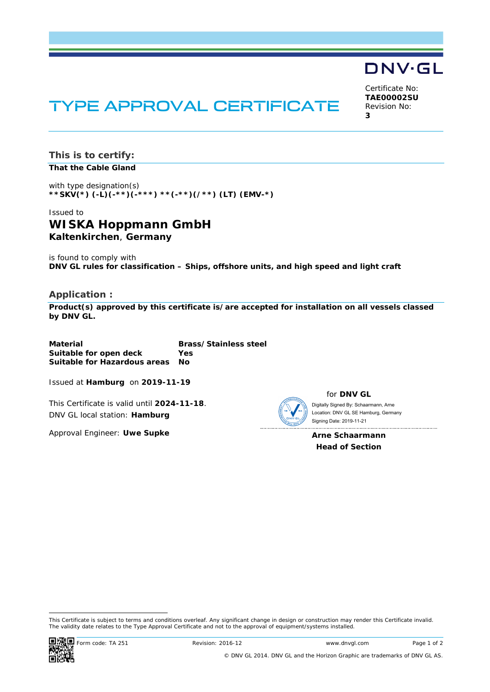# TYPE APPROVAL CERTIFICATE

Certificate No: **TAE00002SU** Revision No: **3** 

DNV·GL

**This is to certify: That the Cable Gland**

with type designation(s) **\*\*SKV(\*) (-L)(-\*\*)(-\*\*\*) \*\*(-\*\*)(/\*\*) (LT) (EMV-\*)**

## Issued to **WISKA Hoppmann GmbH Kaltenkirchen**, **Germany**

is found to comply with **DNV GL rules for classification – Ships, offshore units, and high speed and light craft** 

#### **Application :**

**Product(s) approved by this certificate is/are accepted for installation on all vessels classed by DNV GL.**

| Material                     | <b>Brass/Stainless steel</b> |
|------------------------------|------------------------------|
| Suitable for open deck       | Yes                          |
| Suitable for Hazardous areas | No.                          |

Issued at **Hamburg** on **2019-11-19**

This Certificate is valid until **2024-11-18**. DNV GL local station: **Hamburg**

Approval Engineer: **Uwe Supke**

for **DNV GL** Digitally Signed By: Schaarmann, Arne Signing Date: 2019-11-21 Location: DNV GL SE Hamburg, Germany

**Arne Schaarmann Head of Section** 

 This Certificate is subject to terms and conditions overleaf. Any significant change in design or construction may render this Certificate invalid. The validity date relates to the Type Approval Certificate and not to the approval of equipment/systems installed.